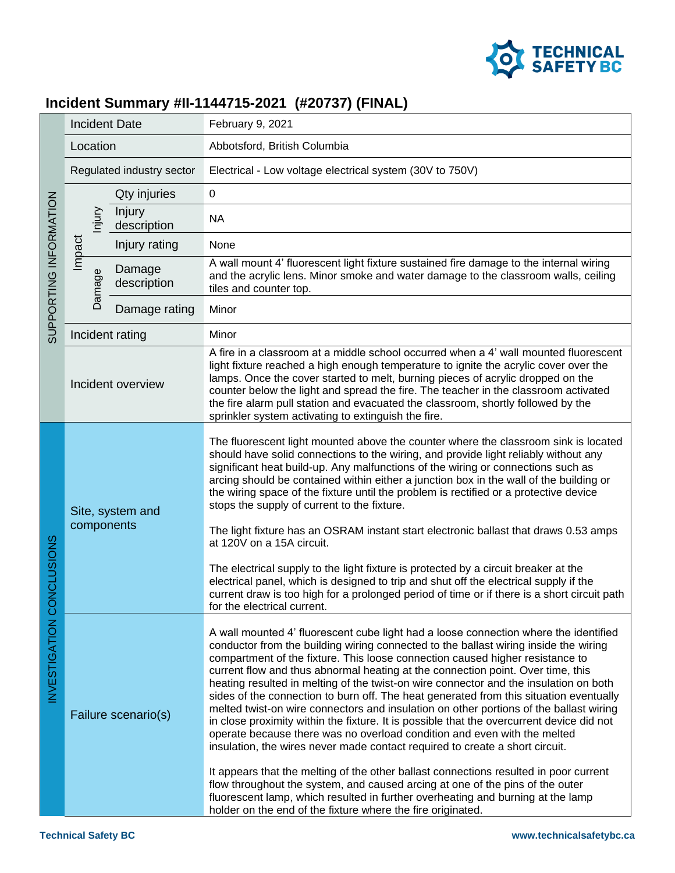

## **Incident Summary #II-1144715-2021 (#20737) (FINAL)**

| SUPPORTING INFORMATION   | <b>Incident Date</b>           |                       | February 9, 2021                                                                                                                                                                                                                                                                                                                                                                                                                                                                                                                                                                                                                                                                                                                                                                                                                                                                                                                                                                                                                                                                                                                                                                                                   |
|--------------------------|--------------------------------|-----------------------|--------------------------------------------------------------------------------------------------------------------------------------------------------------------------------------------------------------------------------------------------------------------------------------------------------------------------------------------------------------------------------------------------------------------------------------------------------------------------------------------------------------------------------------------------------------------------------------------------------------------------------------------------------------------------------------------------------------------------------------------------------------------------------------------------------------------------------------------------------------------------------------------------------------------------------------------------------------------------------------------------------------------------------------------------------------------------------------------------------------------------------------------------------------------------------------------------------------------|
|                          | Location                       |                       | Abbotsford, British Columbia                                                                                                                                                                                                                                                                                                                                                                                                                                                                                                                                                                                                                                                                                                                                                                                                                                                                                                                                                                                                                                                                                                                                                                                       |
|                          | Regulated industry sector      |                       | Electrical - Low voltage electrical system (30V to 750V)                                                                                                                                                                                                                                                                                                                                                                                                                                                                                                                                                                                                                                                                                                                                                                                                                                                                                                                                                                                                                                                                                                                                                           |
|                          |                                | Qty injuries          | $\mathbf 0$                                                                                                                                                                                                                                                                                                                                                                                                                                                                                                                                                                                                                                                                                                                                                                                                                                                                                                                                                                                                                                                                                                                                                                                                        |
|                          | njury                          | Injury<br>description | <b>NA</b>                                                                                                                                                                                                                                                                                                                                                                                                                                                                                                                                                                                                                                                                                                                                                                                                                                                                                                                                                                                                                                                                                                                                                                                                          |
|                          | Impact                         | Injury rating         | None                                                                                                                                                                                                                                                                                                                                                                                                                                                                                                                                                                                                                                                                                                                                                                                                                                                                                                                                                                                                                                                                                                                                                                                                               |
|                          | Damage                         | Damage<br>description | A wall mount 4' fluorescent light fixture sustained fire damage to the internal wiring<br>and the acrylic lens. Minor smoke and water damage to the classroom walls, ceiling<br>tiles and counter top.                                                                                                                                                                                                                                                                                                                                                                                                                                                                                                                                                                                                                                                                                                                                                                                                                                                                                                                                                                                                             |
|                          |                                | Damage rating         | Minor                                                                                                                                                                                                                                                                                                                                                                                                                                                                                                                                                                                                                                                                                                                                                                                                                                                                                                                                                                                                                                                                                                                                                                                                              |
|                          |                                | Incident rating       | Minor                                                                                                                                                                                                                                                                                                                                                                                                                                                                                                                                                                                                                                                                                                                                                                                                                                                                                                                                                                                                                                                                                                                                                                                                              |
|                          | Incident overview              |                       | A fire in a classroom at a middle school occurred when a 4' wall mounted fluorescent<br>light fixture reached a high enough temperature to ignite the acrylic cover over the<br>lamps. Once the cover started to melt, burning pieces of acrylic dropped on the<br>counter below the light and spread the fire. The teacher in the classroom activated<br>the fire alarm pull station and evacuated the classroom, shortly followed by the<br>sprinkler system activating to extinguish the fire.                                                                                                                                                                                                                                                                                                                                                                                                                                                                                                                                                                                                                                                                                                                  |
| NVESTIGATION CONCLUSIONS | Site, system and<br>components |                       | The fluorescent light mounted above the counter where the classroom sink is located<br>should have solid connections to the wiring, and provide light reliably without any<br>significant heat build-up. Any malfunctions of the wiring or connections such as<br>arcing should be contained within either a junction box in the wall of the building or<br>the wiring space of the fixture until the problem is rectified or a protective device<br>stops the supply of current to the fixture.<br>The light fixture has an OSRAM instant start electronic ballast that draws 0.53 amps<br>at 120V on a 15A circuit.<br>The electrical supply to the light fixture is protected by a circuit breaker at the<br>electrical panel, which is designed to trip and shut off the electrical supply if the<br>current draw is too high for a prolonged period of time or if there is a short circuit path<br>for the electrical current.                                                                                                                                                                                                                                                                                |
|                          | Failure scenario(s)            |                       | A wall mounted 4' fluorescent cube light had a loose connection where the identified<br>conductor from the building wiring connected to the ballast wiring inside the wiring<br>compartment of the fixture. This loose connection caused higher resistance to<br>current flow and thus abnormal heating at the connection point. Over time, this<br>heating resulted in melting of the twist-on wire connector and the insulation on both<br>sides of the connection to burn off. The heat generated from this situation eventually<br>melted twist-on wire connectors and insulation on other portions of the ballast wiring<br>in close proximity within the fixture. It is possible that the overcurrent device did not<br>operate because there was no overload condition and even with the melted<br>insulation, the wires never made contact required to create a short circuit.<br>It appears that the melting of the other ballast connections resulted in poor current<br>flow throughout the system, and caused arcing at one of the pins of the outer<br>fluorescent lamp, which resulted in further overheating and burning at the lamp<br>holder on the end of the fixture where the fire originated. |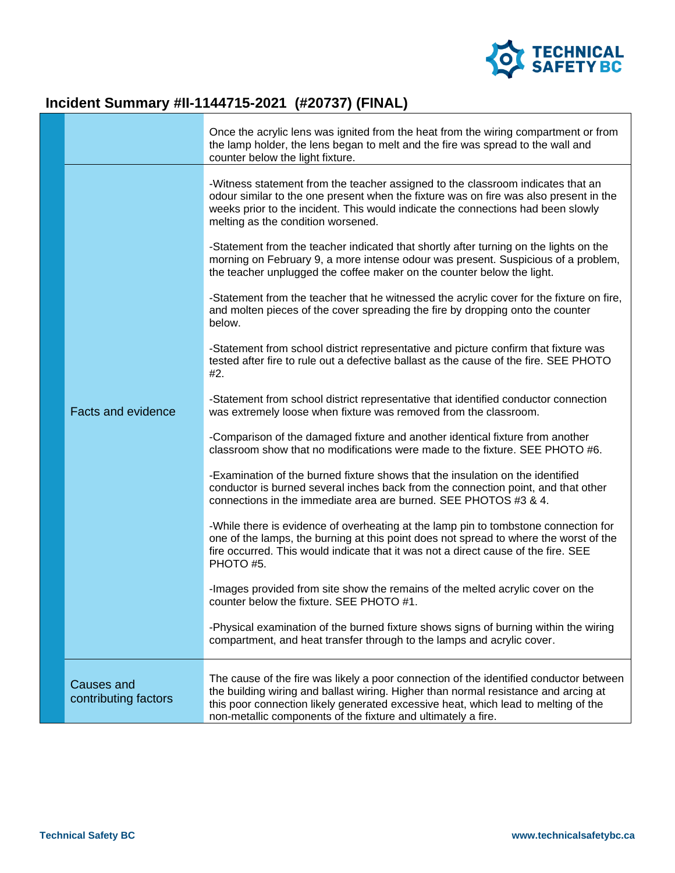

## **Incident Summary #II-1144715-2021 (#20737) (FINAL)**

|                                           | Once the acrylic lens was ignited from the heat from the wiring compartment or from<br>the lamp holder, the lens began to melt and the fire was spread to the wall and<br>counter below the light fixture.                                                                                                                           |
|-------------------------------------------|--------------------------------------------------------------------------------------------------------------------------------------------------------------------------------------------------------------------------------------------------------------------------------------------------------------------------------------|
|                                           | -Witness statement from the teacher assigned to the classroom indicates that an<br>odour similar to the one present when the fixture was on fire was also present in the<br>weeks prior to the incident. This would indicate the connections had been slowly<br>melting as the condition worsened.                                   |
|                                           | -Statement from the teacher indicated that shortly after turning on the lights on the<br>morning on February 9, a more intense odour was present. Suspicious of a problem,<br>the teacher unplugged the coffee maker on the counter below the light.                                                                                 |
|                                           | -Statement from the teacher that he witnessed the acrylic cover for the fixture on fire,<br>and molten pieces of the cover spreading the fire by dropping onto the counter<br>below.                                                                                                                                                 |
|                                           | -Statement from school district representative and picture confirm that fixture was<br>tested after fire to rule out a defective ballast as the cause of the fire. SEE PHOTO<br>#2.                                                                                                                                                  |
| <b>Facts and evidence</b>                 | -Statement from school district representative that identified conductor connection<br>was extremely loose when fixture was removed from the classroom.                                                                                                                                                                              |
|                                           | -Comparison of the damaged fixture and another identical fixture from another<br>classroom show that no modifications were made to the fixture. SEE PHOTO #6.                                                                                                                                                                        |
|                                           | -Examination of the burned fixture shows that the insulation on the identified<br>conductor is burned several inches back from the connection point, and that other<br>connections in the immediate area are burned. SEE PHOTOS #3 & 4.                                                                                              |
|                                           | -While there is evidence of overheating at the lamp pin to tombstone connection for<br>one of the lamps, the burning at this point does not spread to where the worst of the<br>fire occurred. This would indicate that it was not a direct cause of the fire. SEE<br>PHOTO #5.                                                      |
|                                           | -Images provided from site show the remains of the melted acrylic cover on the<br>counter below the fixture. SEE PHOTO #1.                                                                                                                                                                                                           |
|                                           | -Physical examination of the burned fixture shows signs of burning within the wiring<br>compartment, and heat transfer through to the lamps and acrylic cover.                                                                                                                                                                       |
| <b>Causes and</b><br>contributing factors | The cause of the fire was likely a poor connection of the identified conductor between<br>the building wiring and ballast wiring. Higher than normal resistance and arcing at<br>this poor connection likely generated excessive heat, which lead to melting of the<br>non-metallic components of the fixture and ultimately a fire. |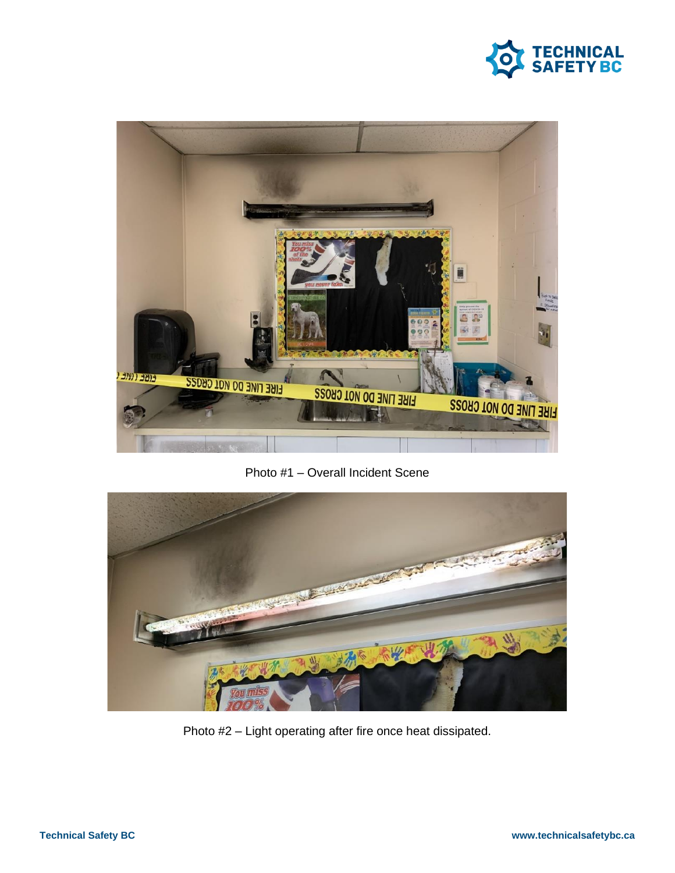



Photo #1 – Overall Incident Scene



Photo #2 – Light operating after fire once heat dissipated.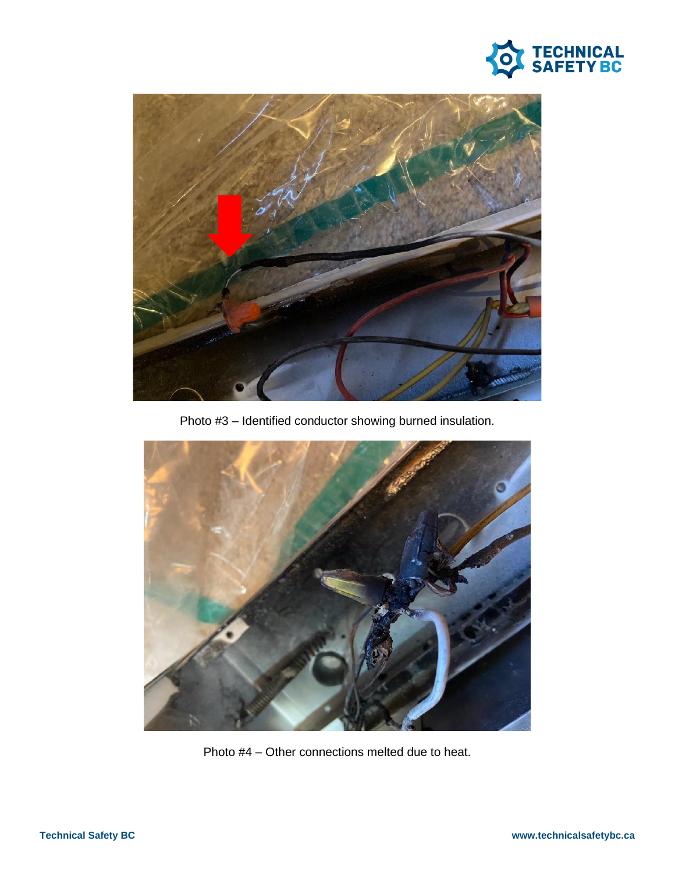



Photo #3 – Identified conductor showing burned insulation.



Photo #4 – Other connections melted due to heat.